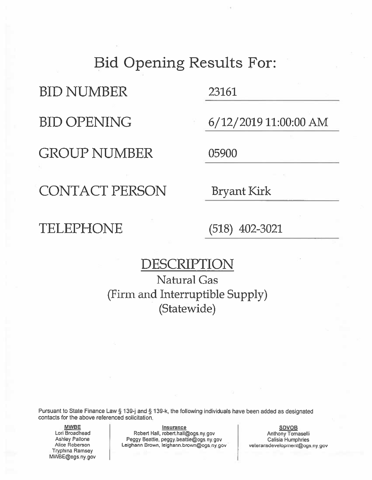### Bid Opening Results For:

**BID NUMBER** 

**BID OPENING** 

**GROUP NUMBER** 

23161

6/12/2019 11:00:00 AM

05900

CONTACT PERSON

**Bryant Kirk** 

### TELEPHONE

 $(518)$  402-3021

### DESCRIPTION

Natural Gas (Firm and Interruptible Supply) (Statewide)

Pursuant to State Finance Law § 139-j and § 139-k, the following individuals have been added as designated contacts for the above referenced solicitation.

**MWBE** Lori Broadhead Ashley Pallone Alice Roberson **Tryphina Ramsey** MWBE@ogs.ny.gov

**Insurance** Robert Hall, robert.hall@ogs.ny.gov Peggy Beattie, peggy.beattie@ogs.ny.gov Leighann Brown, leighann.brown@ogs.ny.gov

**SDVOB** Anthony Tomaselli Calisia Humphries veteransdevelopment@ogs.ny.gov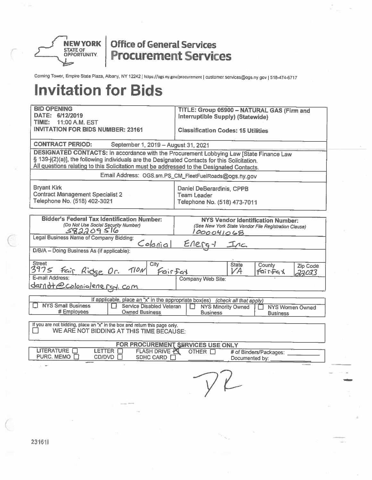

Coming Tower, Empire State Plaza, Albany, NY 12242 | https://ogs.ny.gov/procurement | customer.services@ogs.ny.gov | 518-474-6717

| <b>BID OPENING</b><br>DATE: 6/12/2019                                                                                                                                                                                                                                                       | TITLE: Group 05900 - NATURAL GAS (Firm and<br>Interruptible Supply) (Statewide)                                                                                          |  |  |  |  |  |
|---------------------------------------------------------------------------------------------------------------------------------------------------------------------------------------------------------------------------------------------------------------------------------------------|--------------------------------------------------------------------------------------------------------------------------------------------------------------------------|--|--|--|--|--|
| TIME:<br>11:00 A.M. EST<br><b>INVITATION FOR BIDS NUMBER: 23161</b>                                                                                                                                                                                                                         | <b>Classification Codes: 15 Utilities</b>                                                                                                                                |  |  |  |  |  |
| <b>CONTRACT PERIOD:</b><br>September 1, 2019 - August 31, 2021                                                                                                                                                                                                                              |                                                                                                                                                                          |  |  |  |  |  |
| <b>DESIGNATED CONTACTS: In accordance with the Procurement Lobbying Law [State Finance Law</b><br>§ 139-j(2)(a)], the following individuals are the Designated Contacts for this Solicitation.<br>All questions relating to this Solicitation must be addressed to the Designated Contacts. |                                                                                                                                                                          |  |  |  |  |  |
|                                                                                                                                                                                                                                                                                             | Email Address: OGS.sm.PS_CM_FleetFuelRoads@ogs.hy.gov                                                                                                                    |  |  |  |  |  |
| <b>Bryant Kirk</b><br><b>Contract Management Specialist 2</b><br>Telephone No. (518) 402-3021                                                                                                                                                                                               | Daniel DeBerardinis, CPPB<br><b>Team Leader</b><br>Telephone No. (518) 473-7011                                                                                          |  |  |  |  |  |
| <b>Bidder's Federal Tax Identification Number:</b><br>(Do Not Use Social Security Number)<br>582209516<br><b>Legal Business Name of Company Bidding:</b>                                                                                                                                    | <b>NYS Vendor Identification Number:</b><br>(See New York State Vendor File Registration Clause)<br><u>1000041068</u>                                                    |  |  |  |  |  |
| <u>Colonial</u><br>D/B/A - Doing Business As (if applicable):                                                                                                                                                                                                                               | $E/erq-1$<br>$\bot$ nc                                                                                                                                                   |  |  |  |  |  |
| <b>Street</b><br>City<br>3975<br>TION<br>Fair Ridge Or.<br>Fairfat                                                                                                                                                                                                                          | <b>State</b><br>County<br><b>Zip Code</b><br>VA<br>Fairfax<br>22033                                                                                                      |  |  |  |  |  |
| E-mail Address:<br>E-mail Address:<br>darn it e colonialene rey com                                                                                                                                                                                                                         | Company Web Site:                                                                                                                                                        |  |  |  |  |  |
| <b>NYS Small Business</b><br>Service Disabled Veteran<br>l 1<br># Employees<br><b>Owned Business</b>                                                                                                                                                                                        | If applicable, place an "x" in the appropriate box(es) (check all that apply)<br><b>NYS Minority Owned</b><br>Ħ<br>NYS Women Owned<br><b>Business</b><br><b>Business</b> |  |  |  |  |  |
| If you are not bidding, place an "x" in the box and return this page only.<br>WE ARE NOT BIDDING AT THIS TIME BECAUSE:                                                                                                                                                                      |                                                                                                                                                                          |  |  |  |  |  |
| <b>LITERATURE</b><br>LETTER <b>FT</b><br><b>FLASH DRIVE AT</b><br>PURC. MEMO □<br>CD/DVD.<br>SDHC CARD [                                                                                                                                                                                    | FOR PROCUREMENT SERVICES USE ONLY<br>OTHER □<br># of Binders/Packages:<br>Documented by:                                                                                 |  |  |  |  |  |
|                                                                                                                                                                                                                                                                                             | $y \sim$                                                                                                                                                                 |  |  |  |  |  |
|                                                                                                                                                                                                                                                                                             |                                                                                                                                                                          |  |  |  |  |  |
|                                                                                                                                                                                                                                                                                             |                                                                                                                                                                          |  |  |  |  |  |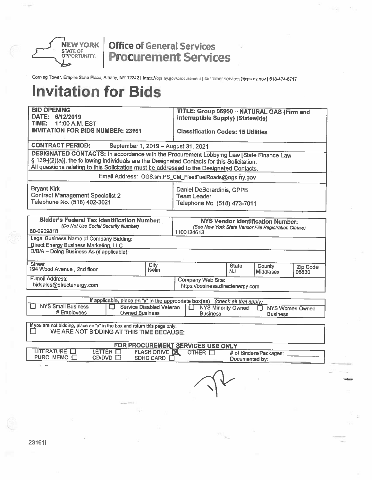

Corning Tower, Empire State Plaza, Albany, NY 12242 | https://ogs.ny.gov/procurement | customer.services@ogs.ny.gov | 518-474-6717

| <b>BID OPENING</b>                                                                                                     | TITLE: Group 05900 - NATURAL GAS (Firm and                                    |  |  |  |  |
|------------------------------------------------------------------------------------------------------------------------|-------------------------------------------------------------------------------|--|--|--|--|
| DATE: 6/12/2019<br>TIME:                                                                                               | <b>Interruptible Supply) (Statewide)</b>                                      |  |  |  |  |
| 11:00 A.M. EST<br><b>INVITATION FOR BIDS NUMBER: 23161</b>                                                             |                                                                               |  |  |  |  |
|                                                                                                                        | <b>Classification Codes: 15 Utilities</b>                                     |  |  |  |  |
| <b>CONTRACT PERIOD:</b><br>September 1, 2019 - August 31, 2021                                                         |                                                                               |  |  |  |  |
| <b>DESIGNATED CONTACTS: In accordance with the Procurement Lobbying Law [State Finance Law</b>                         |                                                                               |  |  |  |  |
| § 139-j(2)(a)], the following individuals are the Designated Contacts for this Solicitation.                           |                                                                               |  |  |  |  |
| All questions relating to this Solicitation must be addressed to the Designated Contacts.                              |                                                                               |  |  |  |  |
|                                                                                                                        | Email Address: OGS.sm.PS_CM_FleetFuelRoads@ogs.ny.gov                         |  |  |  |  |
| <b>Bryant Kirk</b>                                                                                                     | Daniel DeBerardinis, CPPB                                                     |  |  |  |  |
| <b>Contract Management Specialist 2</b>                                                                                | Team Leader                                                                   |  |  |  |  |
| Telephone No. (518) 402-3021                                                                                           | Telephone No. (518) 473-7011                                                  |  |  |  |  |
|                                                                                                                        |                                                                               |  |  |  |  |
| <b>Bidder's Federal Tax Identification Number:</b>                                                                     | <b>NYS Vendor Identification Number:</b>                                      |  |  |  |  |
| (Do Not Use Social Security Number)<br>80-0909818                                                                      | (See New York State Vendor File Registration Clause)<br>1100124613            |  |  |  |  |
| Legal Business Name of Company Bidding:                                                                                |                                                                               |  |  |  |  |
| <b>Direct Energy Business Marketing, LLC</b>                                                                           |                                                                               |  |  |  |  |
| D/B/A - Doing Business As (if applicable):                                                                             |                                                                               |  |  |  |  |
| <b>Street</b><br>City                                                                                                  | <b>State</b><br>County<br>Zip Code                                            |  |  |  |  |
| 194 Wood Avenue, 2nd floor<br>Iselîn.                                                                                  | NJ<br><b>Middlesex</b><br>08830                                               |  |  |  |  |
| E-mail Address:                                                                                                        | Company Web Site:                                                             |  |  |  |  |
| bidsales@directenergy.com                                                                                              | https://business.directenergy.com                                             |  |  |  |  |
|                                                                                                                        | If applicable, place an "x" in the appropriate box(es) (check all that apply) |  |  |  |  |
| <b>NYS Small Business</b><br>Service Disabled Veteran<br>$\Box$                                                        | <b>NYS Minority Owned</b><br>П<br><b>NYS Women Owned</b>                      |  |  |  |  |
| # Employees<br><b>Owned Business</b>                                                                                   | <b>Business</b><br><b>Business</b>                                            |  |  |  |  |
|                                                                                                                        |                                                                               |  |  |  |  |
| If you are not bidding, place an "x" in the box and return this page only.<br>WE ARE NOT BIDDING AT THIS TIME BECAUSE: |                                                                               |  |  |  |  |
|                                                                                                                        |                                                                               |  |  |  |  |
| <b>LITERATURE</b><br>LETTER $\Box$<br><b>FLASH DRIVE DE</b>                                                            | FOR PROCUREMENT SERVICES USE ONLY<br>OTHER <b>N</b><br># of Binders/Packages: |  |  |  |  |
| PURC. MEMO □<br>CD/DVD □<br>SDHC CARD E                                                                                | Documented by:                                                                |  |  |  |  |
|                                                                                                                        |                                                                               |  |  |  |  |
|                                                                                                                        |                                                                               |  |  |  |  |
|                                                                                                                        |                                                                               |  |  |  |  |
|                                                                                                                        |                                                                               |  |  |  |  |
|                                                                                                                        |                                                                               |  |  |  |  |
|                                                                                                                        |                                                                               |  |  |  |  |
|                                                                                                                        |                                                                               |  |  |  |  |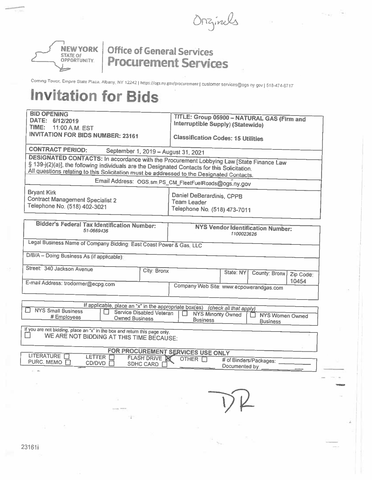Orzinels



Coming Tower, Empire State Plaza, Albany, NY 12242 | https://ogs.ny.gov/procurement | customer services@ogs ny gov | 518-474-6717

| <b>BID OPENING</b><br>DATE: 6/12/2019                                                                                                                                                                                                                                                | TITLE: Group 05900 - NATURAL GAS (Firm and<br>Interruptible Supply) (Statewide)                      |  |  |  |  |
|--------------------------------------------------------------------------------------------------------------------------------------------------------------------------------------------------------------------------------------------------------------------------------------|------------------------------------------------------------------------------------------------------|--|--|--|--|
| TIME:<br>11:00 A.M. EST<br><b>INVITATION FOR BIDS NUMBER: 23161</b>                                                                                                                                                                                                                  | <b>Classification Codes: 15 Utilities</b>                                                            |  |  |  |  |
| <b>CONTRACT PERIOD:</b><br>September 1, 2019 - August 31, 2021                                                                                                                                                                                                                       |                                                                                                      |  |  |  |  |
| DESIGNATED CONTACTS: In accordance with the Procurement Lobbying Law [State Finance Law<br>§ 139-j(2)(a)], the following individuals are the Designated Contacts for this Solicitation.<br>All questions relating to this Solicitation must be addressed to the Designated Contacts. |                                                                                                      |  |  |  |  |
|                                                                                                                                                                                                                                                                                      | Email Address: OGS.sm.PS_CM_FleetFuelRoads@ogs.ny.gov                                                |  |  |  |  |
| <b>Bryant Kirk</b><br><b>Contract Management Specialist 2</b><br>Telephone No. (518) 402-3021                                                                                                                                                                                        | Daniel DeBerardinis, CPPB<br>Team Leader<br>Telephone No. (518) 473-7011                             |  |  |  |  |
| <b>Bidder's Federal Tax Identification Number:</b><br>51-0669436                                                                                                                                                                                                                     | <b>NYS Vendor Identification Number:</b><br>1100023626                                               |  |  |  |  |
| Legal Business Name of Company Bidding: East Coast Power & Gas, LLC                                                                                                                                                                                                                  |                                                                                                      |  |  |  |  |
| D/B/A - Doing Business As (if applicable):                                                                                                                                                                                                                                           |                                                                                                      |  |  |  |  |
| Street: 340 Jackson Avenue<br>City: Bronx                                                                                                                                                                                                                                            | State: NY<br>County: Bronx<br>Zip Code:                                                              |  |  |  |  |
| E-mail Address: trodormer@ecpg.com                                                                                                                                                                                                                                                   | 10454<br>Company Web Site: www.ecpowerandgas.com                                                     |  |  |  |  |
|                                                                                                                                                                                                                                                                                      | If applicable, place an "x" in the appropriate box(es) (check all that apply)                        |  |  |  |  |
| NYS Small Business<br>Service Disabled Veteran<br># Employees<br><b>Owned Business</b>                                                                                                                                                                                               | П<br><b>NYS Minority Owned</b><br><b>NYS Women Owned</b><br>LΙ<br><b>Business</b><br><b>Business</b> |  |  |  |  |
| If you are not bidding, place an "x" in the box and return this page only.<br>WE ARE NOT BIDDING AT THIS TIME BECAUSE:                                                                                                                                                               |                                                                                                      |  |  |  |  |
| LITERATURE O                                                                                                                                                                                                                                                                         | FOR PROCUREMENT SERVICES USE ONLY                                                                    |  |  |  |  |
| LETTER <sub>I</sub><br><b>FLASH DRIVE X</b><br>PURC. MEMO □<br>CD/DVD O<br>SDHC CARD [                                                                                                                                                                                               | OTHER <sub>[1]</sub><br># of Binders/Packages:<br>Documented by:                                     |  |  |  |  |
|                                                                                                                                                                                                                                                                                      |                                                                                                      |  |  |  |  |
|                                                                                                                                                                                                                                                                                      |                                                                                                      |  |  |  |  |
|                                                                                                                                                                                                                                                                                      |                                                                                                      |  |  |  |  |
|                                                                                                                                                                                                                                                                                      |                                                                                                      |  |  |  |  |
|                                                                                                                                                                                                                                                                                      |                                                                                                      |  |  |  |  |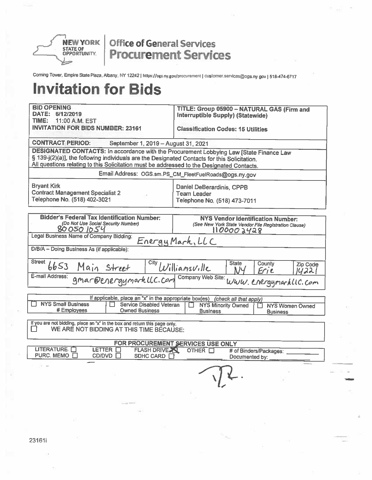

Corning Tower, Empire State Plaza, Albany, NY 12242 | https://ogs.ny.gov/procurement | customer.services@ogs.ny.gov | 518-474-6717

# **Invitation for Bids**

| <b>BID OPENING</b><br>DATE: 6/12/2019                                                                                                                                                                                                                                                | TITLE: Group 05900 - NATURAL GAS (Firm and<br><b>Interruptible Supply) (Statewide)</b>                                                                                                   |  |  |  |  |
|--------------------------------------------------------------------------------------------------------------------------------------------------------------------------------------------------------------------------------------------------------------------------------------|------------------------------------------------------------------------------------------------------------------------------------------------------------------------------------------|--|--|--|--|
| TIME:<br>11:00 A.M. EST<br><b>INVITATION FOR BIDS NUMBER: 23161</b>                                                                                                                                                                                                                  | <b>Classification Codes: 15 Utilities</b>                                                                                                                                                |  |  |  |  |
| <b>CONTRACT PERIOD:</b><br>September 1, 2019 - August 31, 2021                                                                                                                                                                                                                       |                                                                                                                                                                                          |  |  |  |  |
| DESIGNATED CONTACTS: In accordance with the Procurement Lobbying Law [State Finance Law<br>§ 139-j(2)(a)], the following individuals are the Designated Contacts for this Solicitation.<br>All questions relating to this Solicitation must be addressed to the Designated Contacts. |                                                                                                                                                                                          |  |  |  |  |
|                                                                                                                                                                                                                                                                                      | Email Address: OGS.sm.PS_CM_FleetFuelRoads@ogs.ny.gov                                                                                                                                    |  |  |  |  |
| <b>Bryant Kirk</b><br><b>Contract Management Specialist 2</b><br>Telephone No. (518) 402-3021                                                                                                                                                                                        | Daniel DeBerardinis, CPPB<br>Team Leader<br>Telephone No. (518) 473-7011                                                                                                                 |  |  |  |  |
| <b>Bidder's Federal Tax Identification Number:</b><br>(Do Not Use Social Security Number)<br>80050 1054                                                                                                                                                                              | <b>NYS Vendor Identification Number:</b><br>(See New York State Vendor File Registration Clause)<br>1100002428                                                                           |  |  |  |  |
| Legal Business Name of Company Bidding:                                                                                                                                                                                                                                              | Energy Mark, LLC                                                                                                                                                                         |  |  |  |  |
| D/B/A - Doing Business As (if applicable):                                                                                                                                                                                                                                           |                                                                                                                                                                                          |  |  |  |  |
| <b>Street</b>                                                                                                                                                                                                                                                                        | <sup>City</sup> Williamsville<br><b>State</b><br>County<br>Zip Code<br>NY<br>Erie<br>14221                                                                                               |  |  |  |  |
| Street 6653 Main Street Will                                                                                                                                                                                                                                                         | Company Web Site: WWW. CrergymarkllC. Com                                                                                                                                                |  |  |  |  |
|                                                                                                                                                                                                                                                                                      |                                                                                                                                                                                          |  |  |  |  |
| <b>NYS Small Business</b><br>Service Disabled Veteran<br># Employees<br><b>Owned Business</b>                                                                                                                                                                                        | If applicable, place an "x" in the appropriate box(es) (check all that apply)<br><b>NYS Minority Owned</b><br>L L .<br><b>NYS Women Owned</b><br>н<br><b>Business</b><br><b>Business</b> |  |  |  |  |
| If you are not bidding, place an "x" in the box and return this page only.<br>WE ARE NOT BIDDING AT THIS TIME BECAUSE:                                                                                                                                                               |                                                                                                                                                                                          |  |  |  |  |
|                                                                                                                                                                                                                                                                                      | FOR PROCUREMENT SERVICES USE ONLY                                                                                                                                                        |  |  |  |  |
| LITERATURE-O<br>LETTER O<br><b>FLASH DRIVE XX</b><br>PURC. MEMO $\Box$<br>$CD/DVD$ $\Box$<br>SDHC CARD <b>D</b>                                                                                                                                                                      | OTHER <sup>I</sup><br># of Binders/Packages:<br>Documented by:                                                                                                                           |  |  |  |  |
|                                                                                                                                                                                                                                                                                      |                                                                                                                                                                                          |  |  |  |  |
|                                                                                                                                                                                                                                                                                      |                                                                                                                                                                                          |  |  |  |  |
|                                                                                                                                                                                                                                                                                      |                                                                                                                                                                                          |  |  |  |  |

23161i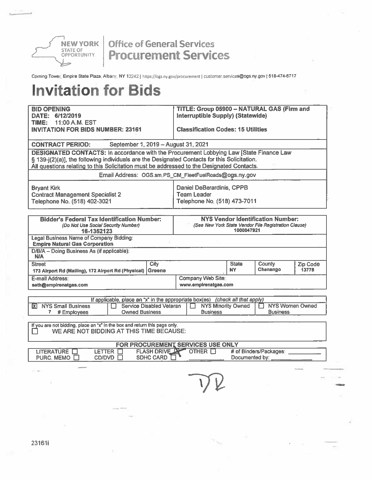

Corning Tower, Empire State Plaza, Albany, NY 12242 | https://ogs.ny.gov/procurement | customer.services@ogs.ny.gov | 518-474-6717

| <b>BID OPENING</b>                                                                                                                                                                        | <b>TITLE: Group 05900 - NATURAL GAS (Firm and</b> |                |                                                      |                 |  |  |  |  |
|-------------------------------------------------------------------------------------------------------------------------------------------------------------------------------------------|---------------------------------------------------|----------------|------------------------------------------------------|-----------------|--|--|--|--|
| DATE: 6/12/2019<br>11:00 A.M. EST<br>TIME:                                                                                                                                                | Interruptible Supply) (Statewide)                 |                |                                                      |                 |  |  |  |  |
| <b>INVITATION FOR BIDS NUMBER: 23161</b>                                                                                                                                                  | <b>Classification Codes: 15 Utilities</b>         |                |                                                      |                 |  |  |  |  |
|                                                                                                                                                                                           |                                                   |                |                                                      |                 |  |  |  |  |
| September 1, 2019 - August 31, 2021<br><b>CONTRACT PERIOD:</b>                                                                                                                            |                                                   |                |                                                      |                 |  |  |  |  |
| <b>DESIGNATED CONTACTS: In accordance with the Procurement Lobbying Law [State Finance Law</b>                                                                                            |                                                   |                |                                                      |                 |  |  |  |  |
| § 139-j(2)(a)], the following individuals are the Designated Contacts for this Solicitation.<br>All questions relating to this Solicitation must be addressed to the Designated Contacts. |                                                   |                |                                                      |                 |  |  |  |  |
| Email Address: OGS.sm.PS_CM_FleetFuelRoads@ogs.ny.gov                                                                                                                                     |                                                   |                |                                                      |                 |  |  |  |  |
|                                                                                                                                                                                           |                                                   |                |                                                      |                 |  |  |  |  |
| <b>Bryant Kirk</b><br><b>Contract Management Specialist 2</b>                                                                                                                             | Daniel DeBerardinis, CPPB<br><b>Team Leader</b>   |                |                                                      |                 |  |  |  |  |
| Telephone No. (518) 402-3021                                                                                                                                                              | Telephone No. (518) 473-7011                      |                |                                                      |                 |  |  |  |  |
|                                                                                                                                                                                           |                                                   |                |                                                      |                 |  |  |  |  |
| <b>Bidder's Federal Tax Identification Number:</b>                                                                                                                                        |                                                   |                | <b>NYS Vendor Identification Number:</b>             |                 |  |  |  |  |
| (Do Not Use Social Security Number)                                                                                                                                                       |                                                   | 1000047921     | (See New York State Vendor File Registration Clause) |                 |  |  |  |  |
| 16-1352123<br><b>Legal Business Name of Company Bidding:</b>                                                                                                                              |                                                   |                |                                                      |                 |  |  |  |  |
| <b>Empire Natural Gas Corporation</b>                                                                                                                                                     |                                                   |                |                                                      |                 |  |  |  |  |
| D/B/A - Doing Business As (if applicable):<br><b>N/A</b>                                                                                                                                  |                                                   |                |                                                      |                 |  |  |  |  |
| City<br><b>Street</b>                                                                                                                                                                     |                                                   | <b>State</b>   | County                                               | Zip Code        |  |  |  |  |
| Greene<br>173 Airport Rd (Mailing), 172 Airport Rd (Physical)                                                                                                                             |                                                   | <b>NY</b>      | Chenango                                             | 13778           |  |  |  |  |
| E-mail Address:<br>seth@empirenatgas.com                                                                                                                                                  | Company Web Site:<br>www.empirenatgas.com         |                |                                                      |                 |  |  |  |  |
|                                                                                                                                                                                           |                                                   |                |                                                      |                 |  |  |  |  |
| If applicable, place an "x" in the appropriate box(es) (check all that apply)                                                                                                             |                                                   |                |                                                      |                 |  |  |  |  |
| Service Disabled Veteran<br><b>NYS Small Business</b><br>IХ.<br><b>Owned Business</b>                                                                                                     | <b>NYS Minority Owned</b><br>n.<br>LT.            |                |                                                      | NYS Women Owned |  |  |  |  |
| # Employees<br>7.                                                                                                                                                                         | <b>Business</b>                                   |                | <b>Business</b>                                      |                 |  |  |  |  |
| If you are not bidding, place an "x" in the box and return this page only.                                                                                                                |                                                   |                |                                                      |                 |  |  |  |  |
| WE ARE NOT BIDDING AT THIS TIME BECAUSE:                                                                                                                                                  |                                                   |                |                                                      |                 |  |  |  |  |
| FOR PROCUREMENT SERVICES USE ONLY                                                                                                                                                         |                                                   |                |                                                      |                 |  |  |  |  |
| <b>FLASH DRIVE DR</b><br><b>LITERATURE</b><br>LETTER O<br><b>SDHC CARD</b><br>PURC, MEMO □<br>CD/DVD                                                                                      | <b>OTHER FT</b>                                   | Documented by: | # of Binders/Packages:                               |                 |  |  |  |  |
|                                                                                                                                                                                           |                                                   |                |                                                      |                 |  |  |  |  |
|                                                                                                                                                                                           |                                                   |                |                                                      |                 |  |  |  |  |
|                                                                                                                                                                                           |                                                   |                |                                                      |                 |  |  |  |  |
|                                                                                                                                                                                           |                                                   |                |                                                      |                 |  |  |  |  |
|                                                                                                                                                                                           |                                                   |                |                                                      |                 |  |  |  |  |
| along work                                                                                                                                                                                |                                                   |                |                                                      |                 |  |  |  |  |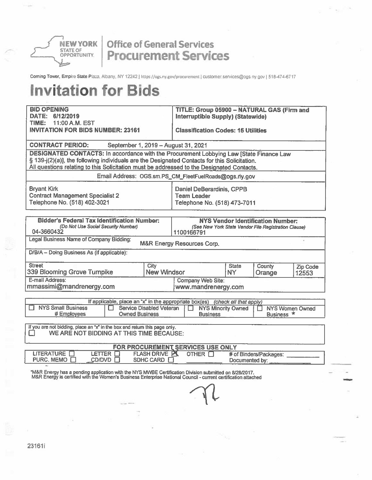

Corning Tower, Empire State Plaza, Albany, NY 12242 | https://ogs.ny.gov/procurement | customer.services@ogs.ny.gov | 518-474-6717

| <b>BID OPENING</b><br>DATE: 6/12/2019                                                                                                                                                                                                                                                | TITLE: Group 05900 - NATURAL GAS (Firm and<br>Interruptible Supply) (Statewide) |                           |                                                                                                  |                   |  |
|--------------------------------------------------------------------------------------------------------------------------------------------------------------------------------------------------------------------------------------------------------------------------------------|---------------------------------------------------------------------------------|---------------------------|--------------------------------------------------------------------------------------------------|-------------------|--|
| 11:00 A.M. EST<br>TIME:<br><b>INVITATION FOR BIDS NUMBER: 23161</b>                                                                                                                                                                                                                  | <b>Classification Codes: 15 Utilities</b>                                       |                           |                                                                                                  |                   |  |
| <b>CONTRACT PERIOD:</b><br>September 1, 2019 - August 31, 2021                                                                                                                                                                                                                       |                                                                                 |                           |                                                                                                  |                   |  |
| DESIGNATED CONTACTS: In accordance with the Procurement Lobbying Law [State Finance Law<br>§ 139-j(2)(a)], the following individuals are the Designated Contacts for this Solicitation.<br>All questions relating to this Solicitation must be addressed to the Designated Contacts. |                                                                                 |                           |                                                                                                  |                   |  |
| Email Address: OGS.sm.PS_CM_FleetFuelRoads@ogs.ny.gov                                                                                                                                                                                                                                |                                                                                 |                           |                                                                                                  |                   |  |
| <b>Bryant Kirk</b><br><b>Contract Management Specialist 2</b><br>Telephone No. (518) 402-3021                                                                                                                                                                                        | Daniel DeBerardinis, CPPB<br><b>Team Leader</b><br>Telephone No. (518) 473-7011 |                           |                                                                                                  |                   |  |
| <b>Bidder's Federal Tax Identification Number:</b><br>(Do Not Use Social Security Number)<br>04-3660432                                                                                                                                                                              | 1100166791                                                                      |                           | <b>NYS Vendor Identification Number:</b><br>(See New York State Vendor File Registration Clause) |                   |  |
| Legal Business Name of Company Bidding:                                                                                                                                                                                                                                              | M&R Energy Resources Corp.                                                      |                           |                                                                                                  |                   |  |
| D/B/A - Doing Business As (if applicable):                                                                                                                                                                                                                                           |                                                                                 |                           |                                                                                                  |                   |  |
| <b>Street</b><br>City<br>339 Blooming Grove Tumpike<br><b>New Windsor</b>                                                                                                                                                                                                            |                                                                                 | <b>State</b><br><b>NY</b> | County<br>Orange                                                                                 | Zip Code<br>12553 |  |
| E-mail Address:<br>mmassimi@mandrenergy.com                                                                                                                                                                                                                                          | Company Web Site:<br>www.mandrenergy.com                                        |                           |                                                                                                  |                   |  |
| If applicable, place an "x" in the appropriate box(es) (check all that apply)                                                                                                                                                                                                        |                                                                                 |                           |                                                                                                  |                   |  |
| <b>NYS Small Business</b><br><b>Service Disabled Veteran</b><br><b>Owned Business</b><br># Employees                                                                                                                                                                                 | <b>NYS Minority Owned</b><br><b>Business</b>                                    |                           | <b>NYS Women Owned</b><br>Business <sup>*</sup>                                                  |                   |  |
| If you are not bidding, place an "x" in the box and return this page only.<br>WE ARE NOT BIDDING AT THIS TIME BECAUSE:                                                                                                                                                               |                                                                                 |                           |                                                                                                  |                   |  |
| FOR PROCUREMENT SERVICES USE ONLY                                                                                                                                                                                                                                                    |                                                                                 |                           |                                                                                                  |                   |  |
| <b>LITERATURE</b><br><b>FLASH DRIVE PT</b><br><b>LETTER</b><br>I 1<br>PURC. MEMO [<br>CD/DVD.<br>SDHC CARD $\Box$                                                                                                                                                                    | OTHER <b>N</b>                                                                  | Documented by:            | # of Binders/Packages:                                                                           |                   |  |
| "M&R Energy has a pending application with the NYS MWBE Certification Division submitted on 8/28/2017.<br>M&R Energy is certified with the Women's Business Enterprise National Council - current certification attached                                                             |                                                                                 |                           |                                                                                                  |                   |  |
|                                                                                                                                                                                                                                                                                      |                                                                                 |                           |                                                                                                  |                   |  |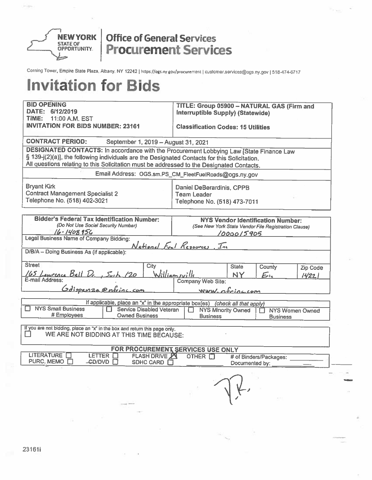

Corning Tower, Empire State Plaza, Albany, NY 12242 | https://ogs.ny.gov/procurement | customer.services@ogs.ny.gov | 518-474-6717

| <b>BID OPENING</b><br>DATE: 6/12/2019<br>TIME:<br>11:00 A.M. EST<br><b>INVITATION FOR BIDS NUMBER: 23161</b>                                                                                                                                                                         | TITLE: Group 05900 - NATURAL GAS (Firm and<br>Interruptible Supply) (Statewide)<br><b>Classification Codes: 15 Utilities</b> |                    |                                                                                                  |                         |  |
|--------------------------------------------------------------------------------------------------------------------------------------------------------------------------------------------------------------------------------------------------------------------------------------|------------------------------------------------------------------------------------------------------------------------------|--------------------|--------------------------------------------------------------------------------------------------|-------------------------|--|
| <b>CONTRACT PERIOD:</b><br>September 1, 2019 - August 31, 2021                                                                                                                                                                                                                       |                                                                                                                              |                    |                                                                                                  |                         |  |
| DESIGNATED CONTACTS: In accordance with the Procurement Lobbying Law [State Finance Law<br>§ 139-j(2)(a)], the following individuals are the Designated Contacts for this Solicitation.<br>All questions relating to this Solicitation must be addressed to the Designated Contacts. |                                                                                                                              |                    |                                                                                                  |                         |  |
| Email Address: OGS.sm.PS_CM_FleetFuelRoads@ogs.ny.gov                                                                                                                                                                                                                                |                                                                                                                              |                    |                                                                                                  |                         |  |
| <b>Bryant Kirk</b><br><b>Contract Management Specialist 2</b><br>Telephone No. (518) 402-3021                                                                                                                                                                                        | Daniel DeBerardinis, CPPB<br><b>Team Leader</b><br>Telephone No. (518) 473-7011                                              |                    |                                                                                                  |                         |  |
| <b>Bidder's Federal Tax Identification Number:</b><br>(Do Not Use Social Security Number)<br>$16 - 1408956$                                                                                                                                                                          |                                                                                                                              |                    | <b>NYS Vendor Identification Number:</b><br>(See New York State Vendor File Registration Clause) |                         |  |
| Legal Business Name of Company Bidding:                                                                                                                                                                                                                                              |                                                                                                                              | <u>/0000/5905</u>  |                                                                                                  |                         |  |
| D/B/A - Doing Business As (if applicable):                                                                                                                                                                                                                                           | National Fuel Resources, Inc                                                                                                 |                    |                                                                                                  |                         |  |
| <b>Street</b><br>City<br>Williamsville<br>165 Lawrence Bell Dr., Suite 120<br>E-mail Address:<br>:<br>Gdispenza enfeinc.com                                                                                                                                                          | Company Web Site:                                                                                                            | <b>State</b><br>NY | County<br>$E_{\rm h}$                                                                            | <b>Zip Code</b><br>1422 |  |
|                                                                                                                                                                                                                                                                                      | Www.ofricacom                                                                                                                |                    |                                                                                                  |                         |  |
| If applicable, place an "x" in the appropriate box(es) (check all that apply)<br><b>NYS Small Business</b><br>IJ<br>Service Disabled Veteran<br># Employees<br><b>Owned Business</b>                                                                                                 | <b>NYS Minority Owned</b><br><b>Business</b>                                                                                 |                    | H<br><b>Business</b>                                                                             | <b>NYS Women Owned</b>  |  |
| If you are not bidding, place an "x" in the box and return this page only.<br>l 1<br>WE ARE NOT BIDDING AT THIS TIME BECAUSE:                                                                                                                                                        |                                                                                                                              |                    |                                                                                                  |                         |  |
| FOR PROCUREMENT SERVICES USE ONLY<br><b>LITERATURE</b><br>LETTER <b>N</b><br><b>FLASH DRIVE ZI</b><br>PURC. MEMO E<br>CD/DVD<br>SDHC CARD <b>D</b>                                                                                                                                   | OTHER <b>In</b>                                                                                                              | Documented by:     | # of Binders/Packages:                                                                           |                         |  |
|                                                                                                                                                                                                                                                                                      |                                                                                                                              |                    |                                                                                                  |                         |  |
| $-11$                                                                                                                                                                                                                                                                                |                                                                                                                              |                    |                                                                                                  |                         |  |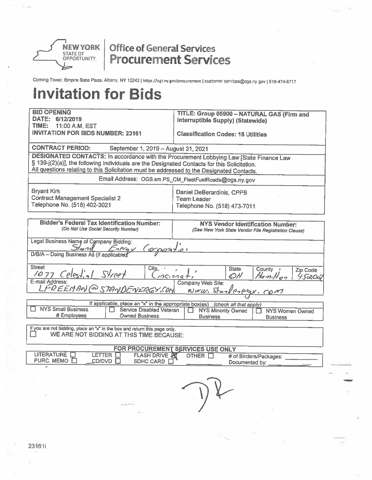

Corning Tower, Empire State Plaza, Albany, NY 12242 | https://ogs.ny.gov/procurement | customer.services@ogs.ny.gov | 518-474-6717

| <b>BID OPENING</b><br>DATE: 6/12/2019<br>TIME:<br>11:00 A.M. EST                                                                                                                                                                                                                     | TITLE: Group 05900 - NATURAL GAS (Firm and<br>Interruptible Supply) (Statewide)                   |  |  |  |  |
|--------------------------------------------------------------------------------------------------------------------------------------------------------------------------------------------------------------------------------------------------------------------------------------|---------------------------------------------------------------------------------------------------|--|--|--|--|
| <b>INVITATION FOR BIDS NUMBER: 23161</b>                                                                                                                                                                                                                                             | <b>Classification Codes: 15 Utilities</b>                                                         |  |  |  |  |
| <b>CONTRACT PERIOD:</b><br>September 1, 2019 - August 31, 2021                                                                                                                                                                                                                       |                                                                                                   |  |  |  |  |
| DESIGNATED CONTACTS: In accordance with the Procurement Lobbying Law [State Finance Law<br>§ 139-j(2)(a)], the following individuals are the Designated Contacts for this Solicitation.<br>All questions relating to this Solicitation must be addressed to the Designated Contacts. |                                                                                                   |  |  |  |  |
|                                                                                                                                                                                                                                                                                      | Email Address: OGS.sm.PS_CM_FleetFuelRoads@ogs.ny.gov                                             |  |  |  |  |
| <b>Bryant Kirk</b><br><b>Contract Management Specialist 2</b><br>Telephone No. (518) 402-3021                                                                                                                                                                                        | Daniel DeBerardinis, CPPB<br><b>Team Leader</b><br>Telephone No. (518) 473-7011                   |  |  |  |  |
| <b>Bidder's Federal Tax Identification Number:</b><br>(Do Not Use Social Security Number)                                                                                                                                                                                            | <b>NYS Vendor Identification Number:</b><br>(See New York State Vendor File Registration Clause)  |  |  |  |  |
| Legal Business Name of Company Bidding:<br>Energy<br>Slond<br>D/B/A - Doing Business As (if applicable)                                                                                                                                                                              |                                                                                                   |  |  |  |  |
| <b>Street</b><br>City_<br><u>1077 Celestial Street</u><br>E-mail Address:                                                                                                                                                                                                            | <b>State</b><br>County<br>Zip Code<br>$100.909 +$<br>OH<br>Hamilton<br>95205<br>Company Web Site: |  |  |  |  |
| LFREEMAN@STANDENERGY.COM                                                                                                                                                                                                                                                             | WWW. Storleslegy, com                                                                             |  |  |  |  |
|                                                                                                                                                                                                                                                                                      | If applicable, place an "x" in the appropriate box(es) (check all that apply)                     |  |  |  |  |
| <b>NYS Small Business</b><br>Service Disabled Veteran<br># Employees<br><b>Owned Business</b>                                                                                                                                                                                        | <b>NYS Minority Owned</b><br><b>NYS Women Owned</b><br>П<br><b>Business</b><br><b>Business</b>    |  |  |  |  |
| If you are not bidding, place an "x" in the box and return this page only.<br>WE ARE NOT BIDDING AT THIS TIME BECAUSE:                                                                                                                                                               |                                                                                                   |  |  |  |  |
|                                                                                                                                                                                                                                                                                      | FOR PROCUREMENT SERVICES USE ONLY                                                                 |  |  |  |  |
| LITERATURE <b>N</b><br>LETTER $\Pi$<br><b>FLASH DRIVE AT</b><br>PURC. MEMO □<br>CD/DVD ET<br>SDHC CARD E                                                                                                                                                                             | OTHER IT<br># of Binders/Packages:<br>Documented by:                                              |  |  |  |  |
|                                                                                                                                                                                                                                                                                      |                                                                                                   |  |  |  |  |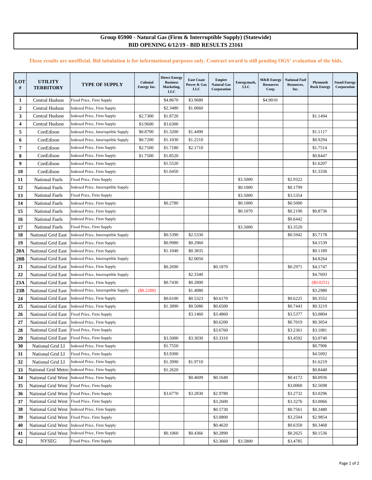#### **Group 05900 - Natural Gas (Firm & Interruptible Supply) (Statewide) BID OPENING 6/12/19 - BID RESULTS 23161**

#### **These results are unofficial. Bid tabulation is for informational purposes only. Contract award is still pending OGS' evaluation of the bids.**

| LOT<br>#     | <b>UTILITY</b><br><b>TERRITORY</b> | <b>TYPE OF SUPPLY</b>                          | Colonial<br>Energy Inc. | <b>Direct Energy</b><br><b>Business</b><br>Marketing,<br>$_{LLC}$ | <b>East Coast</b><br>Power & Gas<br><b>LLC</b> | <b>Empire</b><br><b>Natural Gas</b><br>Corporation | Energymark,<br><b>LLC</b> | <b>M&amp;R</b> Energy<br><b>Resources</b><br>Corp. | <b>National Fuel</b><br>Resources,<br>Inc. | Plymouth<br><b>Rock Energy</b> | <b>Stand Energy</b><br>Corporation |
|--------------|------------------------------------|------------------------------------------------|-------------------------|-------------------------------------------------------------------|------------------------------------------------|----------------------------------------------------|---------------------------|----------------------------------------------------|--------------------------------------------|--------------------------------|------------------------------------|
| 1            | Central Hudson                     | Fixed Price, Firm Supply                       |                         | \$4.8670                                                          | \$3.9680                                       |                                                    |                           | \$4.9010                                           |                                            |                                |                                    |
| $\mathbf{2}$ | Central Hudson                     | Indexed Price, Firm Supply                     |                         | \$2.3480                                                          | \$1.0660                                       |                                                    |                           |                                                    |                                            |                                |                                    |
| 3            | Central Hudson                     | Indexed Price, Firm Supply                     | \$2.7300                | \$1.8720                                                          |                                                |                                                    |                           |                                                    |                                            | \$1.1494                       |                                    |
| 4            | <b>Central Hudson</b>              | Indexed Price, Firm Supply                     | \$3.9600                | \$3.6300                                                          |                                                |                                                    |                           |                                                    |                                            |                                |                                    |
| 5            | ConEdison                          | Indexed Price, Interruptible Supply            | \$0.8700                | \$1.3200                                                          | \$1.4490                                       |                                                    |                           |                                                    |                                            | \$1.1117                       |                                    |
| 6            | ConEdison                          | Indexed Price, Interruptible Supply            | \$0.7200                | \$1.1030                                                          | \$1.2210                                       |                                                    |                           |                                                    |                                            | \$0.9294                       |                                    |
| 7            | ConEdison                          | Indexed Price, Firm Supply                     | \$2.7500                | \$1.7180                                                          | \$2.1710                                       |                                                    |                           |                                                    |                                            | \$1.7514                       |                                    |
| 8            | ConEdison                          | Indexed Price, Firm Supply                     | \$1.7500                | \$1.8520                                                          |                                                |                                                    |                           |                                                    |                                            | \$0.8447                       |                                    |
| 9            | ConEdison                          | Indexed Price, Firm Supply                     |                         | \$1.5520                                                          |                                                |                                                    |                           |                                                    |                                            | \$1.6207                       |                                    |
| 10           | ConEdison                          | Indexed Price, Firm Supply                     |                         | \$1.6450                                                          |                                                |                                                    |                           |                                                    |                                            | \$1.3336                       |                                    |
| 11           | <b>National Fuels</b>              | Fixed Price, Firm Supply                       |                         |                                                                   |                                                |                                                    | \$3.5000                  |                                                    | \$2.9322                                   |                                |                                    |
| 12           | <b>National Fuels</b>              | Indexed Price, Interruptible Supply            |                         |                                                                   |                                                |                                                    | \$0.1000                  |                                                    | \$0.1799                                   |                                |                                    |
| 13           | <b>National Fuels</b>              | Fixed Price, Firm Supply                       |                         |                                                                   |                                                |                                                    | \$3.5000                  |                                                    | \$3.5354                                   |                                |                                    |
| 14           | <b>National Fuels</b>              | Indexed Price, Firm Supply                     |                         | \$0.2780                                                          |                                                |                                                    | \$0.1000                  |                                                    | \$0.5000                                   |                                |                                    |
| 15           | <b>National Fuels</b>              | Indexed Price, Firm Supply                     |                         |                                                                   |                                                |                                                    | \$0.1070                  |                                                    | \$0.2190                                   | \$0.8736                       |                                    |
| 16           | <b>National Fuels</b>              | Indexed Price, Firm Supply                     |                         |                                                                   |                                                |                                                    |                           |                                                    | \$0.6442                                   |                                |                                    |
| 17           | <b>National Fuels</b>              | Fixed Price, Firm Supply                       |                         |                                                                   |                                                |                                                    | \$3.5000                  |                                                    | \$3.3520                                   |                                |                                    |
| 18           | National Grid East                 | Indexed Price, Interruptible Supply            |                         | \$0.5390                                                          | \$2.5330                                       |                                                    |                           |                                                    | \$0.5942                                   | \$5.7178                       |                                    |
| 19           | <b>National Grid East</b>          | Indexed Price, Firm Supply                     |                         | \$0.9980                                                          | \$0.2960                                       |                                                    |                           |                                                    |                                            | \$4.1539                       |                                    |
| 20A          | <b>National Grid East</b>          | Indexed Price, Firm Supply                     |                         | \$1.1040                                                          | \$0.3835                                       |                                                    |                           |                                                    |                                            | \$0.1189                       |                                    |
| 20B          | <b>National Grid East</b>          | Indexed Price, Interruptible Supply            |                         |                                                                   | \$2.0050                                       |                                                    |                           |                                                    |                                            | \$4.8264                       |                                    |
| 21           | <b>National Grid East</b>          | Indexed Price, Firm Supply                     |                         | \$0.2690                                                          |                                                | \$0.1870                                           |                           |                                                    | \$0.2971                                   | \$4.1747                       |                                    |
| 22           | <b>National Grid East</b>          | Indexed Price, Interruptible Supply            |                         |                                                                   | \$2.3340                                       |                                                    |                           |                                                    |                                            | \$4.7693                       |                                    |
| 23A          | National Grid East                 | Indexed Price, Firm Supply                     |                         | \$0.7430                                                          | \$0.2800                                       |                                                    |                           |                                                    |                                            | $(\$0.0251)$                   |                                    |
| 23B          | National Grid East                 | Indexed Price, Interruptible Supply            | (\$0.2200)              |                                                                   | \$1.4080                                       |                                                    |                           |                                                    |                                            | \$3.2980                       |                                    |
| 24           | <b>National Grid East</b>          | Indexed Price, Firm Supply                     |                         | \$0.6100                                                          | \$0.5323                                       | \$0.6170                                           |                           |                                                    | \$0.6225                                   | \$0.3552                       |                                    |
| 25           | <b>National Grid East</b>          | Indexed Price, Firm Supply                     |                         | \$1.3890                                                          | \$0.5086                                       | \$0.6500                                           |                           |                                                    | \$0.7443                                   | \$0.3219                       |                                    |
| 26           | <b>National Grid East</b>          | Fixed Price, Firm Supply                       |                         |                                                                   | \$3.1460                                       | \$3.4860                                           |                           |                                                    | \$3.5377                                   | \$3.0804                       |                                    |
| 27           | National Grid East                 | Indexed Price, Firm Supply                     |                         |                                                                   |                                                | \$0.6200                                           |                           |                                                    | \$0.7019                                   | \$0.3054                       |                                    |
| 28           | <b>National Grid East</b>          | Fixed Price, Firm Supply                       |                         |                                                                   |                                                | \$3.6760                                           |                           |                                                    | \$3.2361                                   | \$3.1081                       |                                    |
| 29           | <b>National Grid East</b>          | Fixed Price, Firm Supply                       |                         | \$3.5000                                                          | \$3.3030                                       | \$3.3310                                           |                           |                                                    | \$3.4592                                   | \$3.0740                       |                                    |
| 30           | National Grid LI                   | Indexed Price, Firm Supply                     |                         | \$1.7550                                                          |                                                |                                                    |                           |                                                    |                                            | \$0.7906                       |                                    |
| 31           | National Grid LI                   | Fixed Price, Firm Supply                       |                         | \$3.9300                                                          |                                                |                                                    |                           |                                                    |                                            | \$4.5092                       |                                    |
| 32           | National Grid LI                   | Indexed Price, Firm Supply                     |                         | \$1.3990                                                          | \$1.9710                                       |                                                    |                           |                                                    |                                            | \$1.6219                       |                                    |
| 33           |                                    | National Grid Metro Indexed Price, Firm Supply |                         | \$1.2620                                                          |                                                |                                                    |                           |                                                    |                                            | \$0.8440                       |                                    |
| 34           | National Grid West                 | Indexed Price, Firm Supply                     |                         |                                                                   | \$0.4609                                       | \$0.1640                                           |                           |                                                    | \$0.4172                                   | \$0.0936                       |                                    |
| 35           | National Grid West                 | Fixed Price, Firm Supply                       |                         |                                                                   |                                                |                                                    |                           |                                                    | \$3.0060                                   | \$2.5698                       |                                    |
| 36           | National Grid West                 | Fixed Price, Firm Supply                       |                         | \$3.6770                                                          | \$3.2830                                       | \$2.9780                                           |                           |                                                    | \$3.2732                                   | \$3.0296                       |                                    |
| 37           | National Grid West                 | Fixed Price, Firm Supply                       |                         |                                                                   |                                                | \$3.2600                                           |                           |                                                    | \$3.3276                                   | \$3.0066                       |                                    |
| 38           | National Grid West                 | Indexed Price, Firm Supply                     |                         |                                                                   |                                                | \$0.5730                                           |                           |                                                    | \$0.7561                                   | \$0.3480                       |                                    |
| 39           | National Grid West                 | Fixed Price, Firm Supply                       |                         |                                                                   |                                                | \$3.0800                                           |                           |                                                    | \$3.2504                                   | \$2.9854                       |                                    |
| 40           | National Grid West                 | Indexed Price, Firm Supply                     |                         |                                                                   |                                                | \$0.4620                                           |                           |                                                    | \$0.6350                                   | \$0.3468                       |                                    |
| 41           | National Grid West                 | Indexed Price, Firm Supply                     |                         | \$0.1060                                                          | \$0.4366                                       | \$0.2890                                           |                           |                                                    | \$0.2625                                   | \$0.1536                       |                                    |
| 42           | <b>NYSEG</b>                       | Fixed Price, Firm Supply                       |                         |                                                                   |                                                | \$3.3660                                           | \$3.5800                  |                                                    | \$3.4785                                   |                                |                                    |